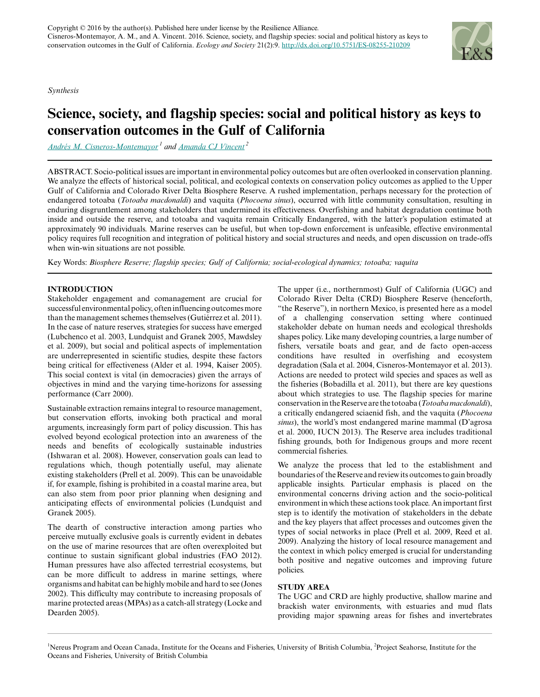*Synthesis*

# **Science, society, and flagship species: social and political history as keys to conservation outcomes in the Gulf of California**

*[Andrés M. Cisneros-Montemayor](mailto:a.cisneros@oceans.ubc.ca)<sup>1</sup> and [Amanda CJ Vincent](mailto:a.vincent@oceans.ubc.ca)<sup>2</sup>*

ABSTRACT. Socio-political issues are important in environmental policy outcomes but are often overlooked in conservation planning. We analyze the effects of historical social, political, and ecological contexts on conservation policy outcomes as applied to the Upper Gulf of California and Colorado River Delta Biosphere Reserve. A rushed implementation, perhaps necessary for the protection of endangered totoaba (*Totoaba macdonaldi*) and vaquita (*Phocoena sinus*), occurred with little community consultation, resulting in enduring disgruntlement among stakeholders that undermined its effectiveness. Overfishing and habitat degradation continue both inside and outside the reserve, and totoaba and vaquita remain Critically Endangered, with the latter's population estimated at approximately 90 individuals. Marine reserves can be useful, but when top-down enforcement is unfeasible, effective environmental policy requires full recognition and integration of political history and social structures and needs, and open discussion on trade-offs when win-win situations are not possible.

Key Words: *Biosphere Reserve; flagship species; Gulf of California; social-ecological dynamics; totoaba; vaquita*

# **INTRODUCTION**

Stakeholder engagement and comanagement are crucial for successful environmental policy, often influencing outcomes more than the management schemes themselves (Gutiérrez et al. 2011). In the case of nature reserves, strategies for success have emerged (Lubchenco et al. 2003, Lundquist and Granek 2005, Mawdsley et al. 2009), but social and political aspects of implementation are underrepresented in scientific studies, despite these factors being critical for effectiveness (Alder et al. 1994, Kaiser 2005). This social context is vital (in democracies) given the arrays of objectives in mind and the varying time-horizons for assessing performance (Carr 2000).

Sustainable extraction remains integral to resource management, but conservation efforts, invoking both practical and moral arguments, increasingly form part of policy discussion. This has evolved beyond ecological protection into an awareness of the needs and benefits of ecologically sustainable industries (Ishwaran et al. 2008). However, conservation goals can lead to regulations which, though potentially useful, may alienate existing stakeholders (Prell et al. 2009). This can be unavoidable if, for example, fishing is prohibited in a coastal marine area, but can also stem from poor prior planning when designing and anticipating effects of environmental policies (Lundquist and Granek 2005).

The dearth of constructive interaction among parties who perceive mutually exclusive goals is currently evident in debates on the use of marine resources that are often overexploited but continue to sustain significant global industries (FAO 2012). Human pressures have also affected terrestrial ecosystems, but can be more difficult to address in marine settings, where organisms and habitat can be highly mobile and hard to see (Jones 2002). This difficulty may contribute to increasing proposals of marine protected areas (MPAs) as a catch-all strategy (Locke and Dearden 2005).

The upper (i.e., northernmost) Gulf of California (UGC) and Colorado River Delta (CRD) Biosphere Reserve (henceforth, "the Reserve"), in northern Mexico, is presented here as a model of a challenging conservation setting where continued stakeholder debate on human needs and ecological thresholds shapes policy. Like many developing countries, a large number of fishers, versatile boats and gear, and de facto open-access conditions have resulted in overfishing and ecosystem degradation (Sala et al. 2004, Cisneros-Montemayor et al. 2013). Actions are needed to protect wild species and spaces as well as the fisheries (Bobadilla et al. 2011), but there are key questions about which strategies to use. The flagship species for marine conservation in the Reserve are the totoaba (*Totoaba macdonaldi*), a critically endangered sciaenid fish, and the vaquita (*Phocoena sinus*), the world's most endangered marine mammal (D'agrosa et al. 2000, IUCN 2013). The Reserve area includes traditional fishing grounds, both for Indigenous groups and more recent commercial fisheries.

We analyze the process that led to the establishment and boundaries of the Reserve and review its outcomes to gain broadly applicable insights. Particular emphasis is placed on the environmental concerns driving action and the socio-political environment in which these actions took place. An important first step is to identify the motivation of stakeholders in the debate and the key players that affect processes and outcomes given the types of social networks in place (Prell et al. 2009, Reed et al. 2009). Analyzing the history of local resource management and the context in which policy emerged is crucial for understanding both positive and negative outcomes and improving future policies.

# **STUDY AREA**

The UGC and CRD are highly productive, shallow marine and brackish water environments, with estuaries and mud flats providing major spawning areas for fishes and invertebrates

<sup>1</sup>Nereus Program and Ocean Canada, Institute for the Oceans and Fisheries, University of British Columbia, <sup>2</sup>Project Seahorse, Institute for the Oceans and Fisheries, University of British Columbia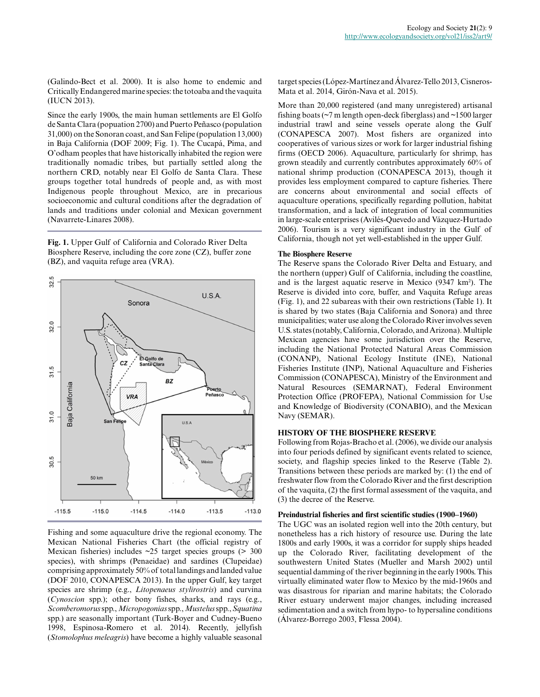(Galindo-Bect et al. 2000). It is also home to endemic and Critically Endangered marine species: the totoaba and the vaquita (IUCN 2013).

Since the early 1900s, the main human settlements are El Golfo de Santa Clara (popuation 2700) and Puerto Peñasco (population 31,000) on the Sonoran coast, and San Felipe (population 13,000) in Baja California (DOF 2009; Fig. 1). The Cucapá, Pima, and O'odham peoples that have historically inhabited the region were traditionally nomadic tribes, but partially settled along the northern CRD, notably near El Golfo de Santa Clara. These groups together total hundreds of people and, as with most Indigenous people throughout Mexico, are in precarious socioeconomic and cultural conditions after the degradation of lands and traditions under colonial and Mexican government (Navarrete-Linares 2008).

**Fig. 1.** Upper Gulf of California and Colorado River Delta Biosphere Reserve, including the core zone (CZ), buffer zone (BZ), and vaquita refuge area (VRA).



Fishing and some aquaculture drive the regional economy. The Mexican National Fisheries Chart (the official registry of Mexican fisheries) includes ~25 target species groups (> 300 species), with shrimps (Penaeidae) and sardines (Clupeidae) comprising approximately 50% of total landings and landed value (DOF 2010, CONAPESCA 2013). In the upper Gulf, key target species are shrimp (e.g., *Litopenaeus stylirostris*) and curvina (*Cynoscion* spp.); other bony fishes, sharks, and rays (e.g., *Scomberomorus* spp., *Micropogonias* spp., *Mustelus* spp., *Squatina* spp.) are seasonally important (Turk-Boyer and Cudney-Bueno 1998, Espinosa-Romero et al. 2014). Recently, jellyfish (*Stomolophus meleagris*) have become a highly valuable seasonal

target species (López-Martínez and Álvarez-Tello 2013, Cisneros-Mata et al. 2014, Girón-Nava et al. 2015).

More than 20,000 registered (and many unregistered) artisanal fishing boats (~7 m length open-deck fiberglass) and ~1500 larger industrial trawl and seine vessels operate along the Gulf (CONAPESCA 2007). Most fishers are organized into cooperatives of various sizes or work for larger industrial fishing firms (OECD 2006). Aquaculture, particularly for shrimp, has grown steadily and currently contributes approximately 60% of national shrimp production (CONAPESCA 2013), though it provides less employment compared to capture fisheries. There are concerns about environmental and social effects of aquaculture operations, specifically regarding pollution, habitat transformation, and a lack of integration of local communities in large-scale enterprises (Avilés-Quevedo and Vázquez-Hurtado 2006). Tourism is a very significant industry in the Gulf of California, though not yet well-established in the upper Gulf.

## **The Biosphere Reserve**

The Reserve spans the Colorado River Delta and Estuary, and the northern (upper) Gulf of California, including the coastline, and is the largest aquatic reserve in Mexico (9347 km²). The Reserve is divided into core, buffer, and Vaquita Refuge areas (Fig. 1), and 22 subareas with their own restrictions (Table 1). It is shared by two states (Baja California and Sonora) and three municipalities; water use along the Colorado River involves seven U.S. states (notably, California, Colorado, and Arizona). Multiple Mexican agencies have some jurisdiction over the Reserve, including the National Protected Natural Areas Commission (CONANP), National Ecology Institute (INE), National Fisheries Institute (INP), National Aquaculture and Fisheries Commission (CONAPESCA), Ministry of the Environment and Natural Resources (SEMARNAT), Federal Environment Protection Office (PROFEPA), National Commission for Use and Knowledge of Biodiversity (CONABIO), and the Mexican Navy (SEMAR).

### **HISTORY OF THE BIOSPHERE RESERVE**

Following from Rojas-Bracho et al. (2006), we divide our analysis into four periods defined by significant events related to science, society, and flagship species linked to the Reserve (Table 2). Transitions between these periods are marked by: (1) the end of freshwater flow from the Colorado River and the first description of the vaquita, (2) the first formal assessment of the vaquita, and (3) the decree of the Reserve.

#### **Preindustrial fisheries and first scientific studies (1900–1960)**

The UGC was an isolated region well into the 20th century, but nonetheless has a rich history of resource use. During the late 1800s and early 1900s, it was a corridor for supply ships headed up the Colorado River, facilitating development of the southwestern United States (Mueller and Marsh 2002) until sequential damming of the river beginning in the early 1900s. This virtually eliminated water flow to Mexico by the mid-1960s and was disastrous for riparian and marine habitats; the Colorado River estuary underwent major changes, including increased sedimentation and a switch from hypo- to hypersaline conditions (Álvarez-Borrego 2003, Flessa 2004).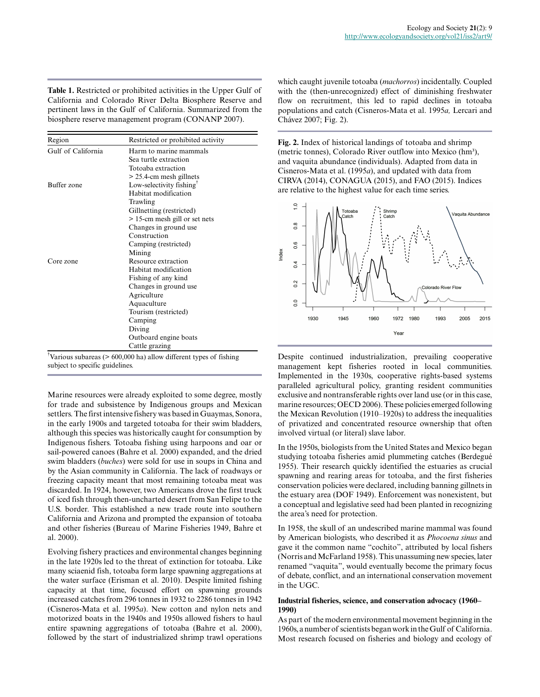**Table 1.** Restricted or prohibited activities in the Upper Gulf of California and Colorado River Delta Biosphere Reserve and pertinent laws in the Gulf of California. Summarized from the biosphere reserve management program (CONANP 2007).

| Region             | Restricted or prohibited activity    |
|--------------------|--------------------------------------|
| Gulf of California | Harm to marine mammals               |
|                    | Sea turtle extraction                |
|                    | Totoaba extraction                   |
|                    | $>$ 25.4-cm mesh gillnets            |
| Buffer zone        | Low-selectivity fishing $^{\dagger}$ |
|                    | Habitat modification                 |
|                    | Trawling                             |
|                    | Gillnetting (restricted)             |
|                    | > 15-cm mesh gill or set nets        |
|                    | Changes in ground use                |
|                    | Construction                         |
|                    | Camping (restricted)                 |
|                    | Mining                               |
| Core zone          | Resource extraction                  |
|                    | Habitat modification                 |
|                    | Fishing of any kind                  |
|                    | Changes in ground use                |
|                    | Agriculture                          |
|                    | Aquaculture                          |
|                    | Tourism (restricted)                 |
|                    | Camping                              |
|                    | Diving                               |
|                    | Outboard engine boats                |
|                    | Cattle grazing                       |

†Various subareas (> 600,000 ha) allow different types of fishing subject to specific guidelines.

Marine resources were already exploited to some degree, mostly for trade and subsistence by Indigenous groups and Mexican settlers. The first intensive fishery was based in Guaymas, Sonora, in the early 1900s and targeted totoaba for their swim bladders, although this species was historically caught for consumption by Indigenous fishers. Totoaba fishing using harpoons and oar or sail-powered canoes (Bahre et al. 2000) expanded, and the dried swim bladders (*buches*) were sold for use in soups in China and by the Asian community in California. The lack of roadways or freezing capacity meant that most remaining totoaba meat was discarded. In 1924, however, two Americans drove the first truck of iced fish through then-uncharted desert from San Felipe to the U.S. border. This established a new trade route into southern California and Arizona and prompted the expansion of totoaba and other fisheries (Bureau of Marine Fisheries 1949, Bahre et al. 2000).

Evolving fishery practices and environmental changes beginning in the late 1920s led to the threat of extinction for totoaba. Like many sciaenid fish, totoaba form large spawning aggregations at the water surface (Erisman et al. 2010). Despite limited fishing capacity at that time, focused effort on spawning grounds increased catches from 296 tonnes in 1932 to 2286 tonnes in 1942 (Cisneros-Mata et al. 1995*a*). New cotton and nylon nets and motorized boats in the 1940s and 1950s allowed fishers to haul entire spawning aggregations of totoaba (Bahre et al. 2000), followed by the start of industrialized shrimp trawl operations which caught juvenile totoaba (*machorros*) incidentally. Coupled with the (then-unrecognized) effect of diminishing freshwater flow on recruitment, this led to rapid declines in totoaba populations and catch (Cisneros-Mata et al. 1995*a,* Lercari and Chávez 2007; Fig. 2).

**Fig. 2.** Index of historical landings of totoaba and shrimp (metric tonnes), Colorado River outflow into Mexico (hm<sup>3</sup>), and vaquita abundance (individuals). Adapted from data in Cisneros-Mata et al. (1995*a*), and updated with data from CIRVA (2014), CONAGUA (2015), and FAO (2015). Indices are relative to the highest value for each time series.



Despite continued industrialization, prevailing cooperative management kept fisheries rooted in local communities. Implemented in the 1930s, cooperative rights-based systems paralleled agricultural policy, granting resident communities exclusive and nontransferable rights over land use (or in this case, marine resources; OECD 2006). These policies emerged following the Mexican Revolution (1910–1920s) to address the inequalities of privatized and concentrated resource ownership that often involved virtual (or literal) slave labor.

In the 1950s, biologists from the United States and Mexico began studying totoaba fisheries amid plummeting catches (Berdegué 1955). Their research quickly identified the estuaries as crucial spawning and rearing areas for totoaba, and the first fisheries conservation policies were declared, including banning gillnets in the estuary area (DOF 1949). Enforcement was nonexistent, but a conceptual and legislative seed had been planted in recognizing the area's need for protection.

In 1958, the skull of an undescribed marine mammal was found by American biologists, who described it as *Phocoena sinus* and gave it the common name "cochito", attributed by local fishers (Norris and McFarland 1958). This unassuming new species, later renamed "vaquita", would eventually become the primary focus of debate, conflict, and an international conservation movement in the UGC.

# **Industrial fisheries, science, and conservation advocacy (1960– 1990)**

As part of the modern environmental movement beginning in the 1960s, a number of scientists began work in the Gulf of California. Most research focused on fisheries and biology and ecology of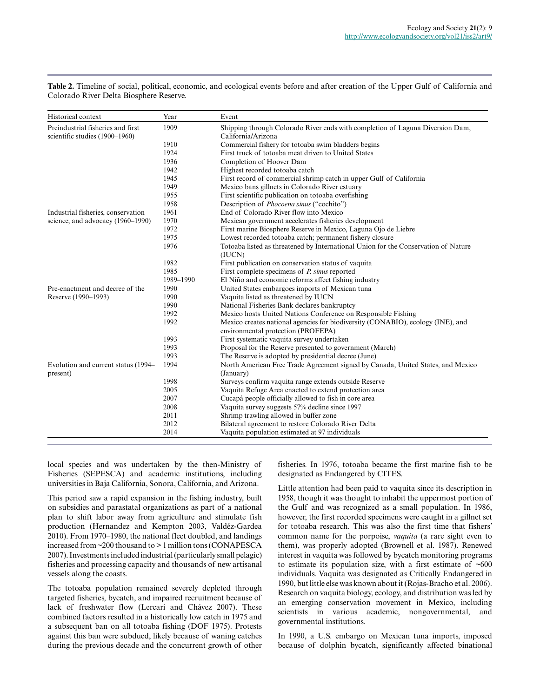| Historical context                  | Year      | Event                                                                                                                 |
|-------------------------------------|-----------|-----------------------------------------------------------------------------------------------------------------------|
| Preindustrial fisheries and first   | 1909      | Shipping through Colorado River ends with completion of Laguna Diversion Dam,                                         |
| scientific studies (1900-1960)      |           | California/Arizona                                                                                                    |
|                                     | 1910      | Commercial fishery for totoaba swim bladders begins                                                                   |
|                                     | 1924      | First truck of totoaba meat driven to United States                                                                   |
|                                     | 1936      | Completion of Hoover Dam                                                                                              |
|                                     | 1942      | Highest recorded totoaba catch                                                                                        |
|                                     | 1945      | First record of commercial shrimp catch in upper Gulf of California                                                   |
|                                     | 1949      | Mexico bans gillnets in Colorado River estuary                                                                        |
|                                     | 1955      | First scientific publication on totoaba overfishing                                                                   |
|                                     | 1958      | Description of <i>Phocoena sinus</i> ("cochito")                                                                      |
| Industrial fisheries, conservation  | 1961      | End of Colorado River flow into Mexico                                                                                |
| science, and advocacy (1960–1990)   | 1970      | Mexican government accelerates fisheries development                                                                  |
|                                     | 1972      | First marine Biosphere Reserve in Mexico, Laguna Ojo de Liebre                                                        |
|                                     | 1975      | Lowest recorded totoaba catch; permanent fishery closure                                                              |
|                                     | 1976      | Totoaba listed as threatened by International Union for the Conservation of Nature<br>(IUCN)                          |
|                                     | 1982      | First publication on conservation status of vaquita                                                                   |
|                                     | 1985      | First complete specimens of <i>P. sinus</i> reported                                                                  |
|                                     | 1989-1990 | El Niño and economic reforms affect fishing industry                                                                  |
| Pre-enactment and decree of the     | 1990      | United States embargoes imports of Mexican tuna                                                                       |
| Reserve (1990–1993)                 | 1990      | Vaquita listed as threatened by IUCN                                                                                  |
|                                     | 1990      | National Fisheries Bank declares bankruptcy                                                                           |
|                                     | 1992      | Mexico hosts United Nations Conference on Responsible Fishing                                                         |
|                                     | 1992      | Mexico creates national agencies for biodiversity (CONABIO), ecology (INE), and<br>environmental protection (PROFEPA) |
|                                     | 1993      | First systematic vaquita survey undertaken                                                                            |
|                                     | 1993      | Proposal for the Reserve presented to government (March)                                                              |
|                                     | 1993      | The Reserve is adopted by presidential decree (June)                                                                  |
| Evolution and current status (1994– | 1994      | North American Free Trade Agreement signed by Canada, United States, and Mexico                                       |
| present)                            |           | (January)                                                                                                             |
|                                     | 1998      | Surveys confirm vaquita range extends outside Reserve                                                                 |
|                                     | 2005      | Vaquita Refuge Area enacted to extend protection area                                                                 |
|                                     | 2007      | Cucapá people officially allowed to fish in core area                                                                 |
|                                     | 2008      | Vaquita survey suggests 57% decline since 1997                                                                        |
|                                     | 2011      | Shrimp trawling allowed in buffer zone                                                                                |
|                                     | 2012      | Bilateral agreement to restore Colorado River Delta                                                                   |
|                                     | 2014      | Vaquita population estimated at 97 individuals                                                                        |

**Table 2.** Timeline of social, political, economic, and ecological events before and after creation of the Upper Gulf of California and Colorado River Delta Biosphere Reserve.

local species and was undertaken by the then-Ministry of Fisheries (SEPESCA) and academic institutions, including universities in Baja California, Sonora, California, and Arizona.

This period saw a rapid expansion in the fishing industry, built on subsidies and parastatal organizations as part of a national plan to shift labor away from agriculture and stimulate fish production (Hernandez and Kempton 2003, Valdéz-Gardea 2010). From 1970–1980, the national fleet doubled, and landings increased from ~200 thousand to > 1 million tons (CONAPESCA 2007). Investments included industrial (particularly small pelagic) fisheries and processing capacity and thousands of new artisanal vessels along the coasts.

The totoaba population remained severely depleted through targeted fisheries, bycatch, and impaired recruitment because of lack of freshwater flow (Lercari and Chávez 2007). These combined factors resulted in a historically low catch in 1975 and a subsequent ban on all totoaba fishing (DOF 1975). Protests against this ban were subdued, likely because of waning catches during the previous decade and the concurrent growth of other fisheries. In 1976, totoaba became the first marine fish to be designated as Endangered by CITES.

Little attention had been paid to vaquita since its description in 1958, though it was thought to inhabit the uppermost portion of the Gulf and was recognized as a small population. In 1986, however, the first recorded specimens were caught in a gillnet set for totoaba research. This was also the first time that fishers' common name for the porpoise, *vaquita* (a rare sight even to them), was properly adopted (Brownell et al. 1987). Renewed interest in vaquita was followed by bycatch monitoring programs to estimate its population size, with a first estimate of  $~600$ individuals. Vaquita was designated as Critically Endangered in 1990, but little else was known about it (Rojas-Bracho et al. 2006). Research on vaquita biology, ecology, and distribution was led by an emerging conservation movement in Mexico, including scientists in various academic, nongovernmental, and governmental institutions.

In 1990, a U.S. embargo on Mexican tuna imports, imposed because of dolphin bycatch, significantly affected binational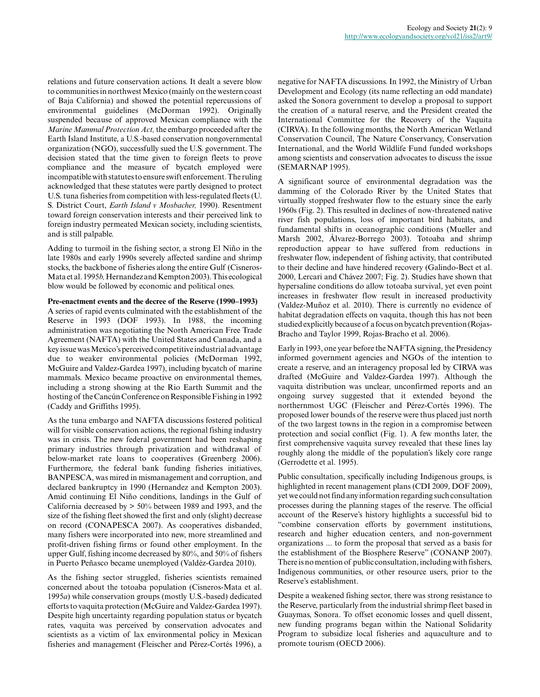relations and future conservation actions. It dealt a severe blow to communities in northwest Mexico (mainly on the western coast of Baja California) and showed the potential repercussions of environmental guidelines (McDorman 1992). Originally suspended because of approved Mexican compliance with the *Marine Mammal Protection Act,* the embargo proceeded after the Earth Island Institute, a U.S.-based conservation nongovernmental organization (NGO), successfully sued the U.S. government. The decision stated that the time given to foreign fleets to prove compliance and the measure of bycatch employed were incompatible with statutes to ensure swift enforcement. The ruling acknowledged that these statutes were partly designed to protect U.S. tuna fisheries from competition with less-regulated fleets (U. S. District Court, *Earth Island v Mosbacher,* 1990). Resentment toward foreign conservation interests and their perceived link to foreign industry permeated Mexican society, including scientists, and is still palpable.

Adding to turmoil in the fishing sector, a strong El Niño in the late 1980s and early 1990s severely affected sardine and shrimp stocks, the backbone of fisheries along the entire Gulf (Cisneros-Mata et al. 1995*b,* Hernandez and Kempton 2003). This ecological blow would be followed by economic and political ones.

## **Pre-enactment events and the decree of the Reserve (1990–1993)**

A series of rapid events culminated with the establishment of the Reserve in 1993 (DOF 1993). In 1988, the incoming administration was negotiating the North American Free Trade Agreement (NAFTA) with the United States and Canada, and a key issue was Mexico's perceived competitive industrial advantage due to weaker environmental policies (McDorman 1992, McGuire and Valdez-Gardea 1997), including bycatch of marine mammals. Mexico became proactive on environmental themes, including a strong showing at the Rio Earth Summit and the hosting of the Cancún Conference on Responsible Fishing in 1992 (Caddy and Griffiths 1995).

As the tuna embargo and NAFTA discussions fostered political will for visible conservation actions, the regional fishing industry was in crisis. The new federal government had been reshaping primary industries through privatization and withdrawal of below-market rate loans to cooperatives (Greenberg 2006). Furthermore, the federal bank funding fisheries initiatives, BANPESCA, was mired in mismanagement and corruption, and declared bankruptcy in 1990 (Hernandez and Kempton 2003). Amid continuing El Niño conditions, landings in the Gulf of California decreased by > 50% between 1989 and 1993, and the size of the fishing fleet showed the first and only (slight) decrease on record (CONAPESCA 2007). As cooperatives disbanded, many fishers were incorporated into new, more streamlined and profit-driven fishing firms or found other employment. In the upper Gulf, fishing income decreased by 80%, and 50% of fishers in Puerto Peñasco became unemployed (Valdéz-Gardea 2010).

As the fishing sector struggled, fisheries scientists remained concerned about the totoaba population (Cisneros-Mata et al. 1995*a*) while conservation groups (mostly U.S.-based) dedicated efforts to vaquita protection (McGuire and Valdez-Gardea 1997). Despite high uncertainty regarding population status or bycatch rates, vaquita was perceived by conservation advocates and scientists as a victim of lax environmental policy in Mexican fisheries and management (Fleischer and Pérez-Cortés 1996), a negative for NAFTA discussions. In 1992, the Ministry of Urban Development and Ecology (its name reflecting an odd mandate) asked the Sonora government to develop a proposal to support the creation of a natural reserve, and the President created the International Committee for the Recovery of the Vaquita (CIRVA). In the following months, the North American Wetland Conservation Council, The Nature Conservancy, Conservation International, and the World Wildlife Fund funded workshops among scientists and conservation advocates to discuss the issue (SEMARNAP 1995).

A significant source of environmental degradation was the damming of the Colorado River by the United States that virtually stopped freshwater flow to the estuary since the early 1960s (Fig. 2). This resulted in declines of now-threatened native river fish populations, loss of important bird habitats, and fundamental shifts in oceanographic conditions (Mueller and Marsh 2002, Álvarez-Borrego 2003). Totoaba and shrimp reproduction appear to have suffered from reductions in freshwater flow, independent of fishing activity, that contributed to their decline and have hindered recovery (Galindo-Bect et al. 2000, Lercari and Chávez 2007; Fig. 2). Studies have shown that hypersaline conditions do allow totoaba survival, yet even point increases in freshwater flow result in increased productivity (Valdez-Muñoz et al. 2010). There is currently no evidence of habitat degradation effects on vaquita, though this has not been studied explicitly because of a focus on bycatch prevention (Rojas-Bracho and Taylor 1999, Rojas-Bracho et al. 2006).

Early in 1993, one year before the NAFTA signing, the Presidency informed government agencies and NGOs of the intention to create a reserve, and an interagency proposal led by CIRVA was drafted (McGuire and Valdez-Gardea 1997). Although the vaquita distribution was unclear, unconfirmed reports and an ongoing survey suggested that it extended beyond the northernmost UGC (Fleischer and Pérez-Cortés 1996). The proposed lower bounds of the reserve were thus placed just north of the two largest towns in the region in a compromise between protection and social conflict (Fig. 1). A few months later, the first comprehensive vaquita survey revealed that these lines lay roughly along the middle of the population's likely core range (Gerrodette et al. 1995).

Public consultation, specifically including Indigenous groups, is highlighted in recent management plans (CDI 2009, DOF 2009), yet we could not find any information regarding such consultation processes during the planning stages of the reserve. The official account of the Reserve's history highlights a successful bid to "combine conservation efforts by government institutions, research and higher education centers, and non-government organizations ... to form the proposal that served as a basis for the establishment of the Biosphere Reserve" (CONANP 2007). There is no mention of public consultation, including with fishers, Indigenous communities, or other resource users, prior to the Reserve's establishment.

Despite a weakened fishing sector, there was strong resistance to the Reserve, particularly from the industrial shrimp fleet based in Guaymas, Sonora. To offset economic losses and quell dissent, new funding programs began within the National Solidarity Program to subsidize local fisheries and aquaculture and to promote tourism (OECD 2006).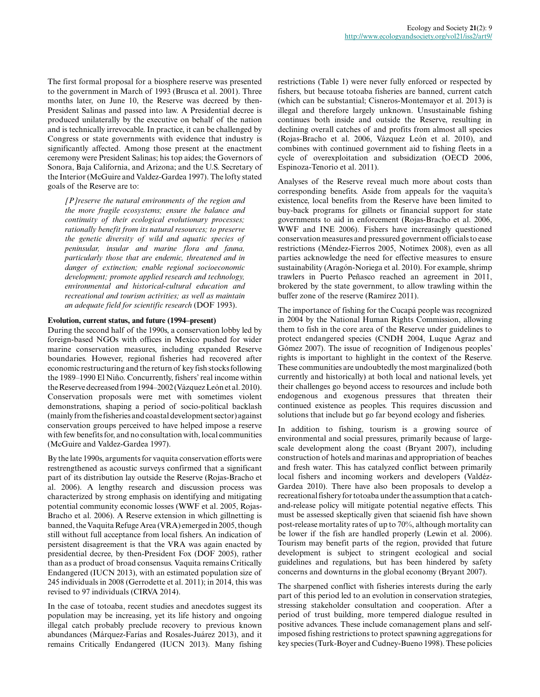The first formal proposal for a biosphere reserve was presented to the government in March of 1993 (Brusca et al. 2001). Three months later, on June 10, the Reserve was decreed by then-President Salinas and passed into law. A Presidential decree is produced unilaterally by the executive on behalf of the nation and is technically irrevocable. In practice, it can be challenged by Congress or state governments with evidence that industry is significantly affected. Among those present at the enactment ceremony were President Salinas; his top aides; the Governors of Sonora, Baja California, and Arizona; and the U.S. Secretary of the Interior (McGuire and Valdez-Gardea 1997). The lofty stated goals of the Reserve are to:

*[P]reserve the natural environments of the region and the more fragile ecosystems; ensure the balance and continuity of their ecological evolutionary processes; rationally benefit from its natural resources; to preserve the genetic diversity of wild and aquatic species of peninsular, insular and marine flora and fauna, particularly those that are endemic, threatened and in danger of extinction; enable regional socioeconomic development; promote applied research and technology, environmental and historical-cultural education and recreational and tourism activities; as well as maintain an adequate field for scientific research* (DOF 1993).

#### **Evolution, current status, and future (1994–present)**

During the second half of the 1990s, a conservation lobby led by foreign-based NGOs with offices in Mexico pushed for wider marine conservation measures, including expanded Reserve boundaries. However, regional fisheries had recovered after economic restructuring and the return of key fish stocks following the 1989–1990 El Niño. Concurrently, fishers' real income within the Reserve decreased from 1994–2002 (Vázquez León et al. 2010). Conservation proposals were met with sometimes violent demonstrations, shaping a period of socio-political backlash (mainly from the fisheries and coastal development sector) against conservation groups perceived to have helped impose a reserve with few benefits for, and no consultation with, local communities (McGuire and Valdez-Gardea 1997).

By the late 1990s, arguments for vaquita conservation efforts were restrengthened as acoustic surveys confirmed that a significant part of its distribution lay outside the Reserve (Rojas-Bracho et al. 2006). A lengthy research and discussion process was characterized by strong emphasis on identifying and mitigating potential community economic losses (WWF et al. 2005, Rojas-Bracho et al. 2006). A Reserve extension in which gillnetting is banned, the Vaquita Refuge Area (VRA) emerged in 2005, though still without full acceptance from local fishers. An indication of persistent disagreement is that the VRA was again enacted by presidential decree, by then-President Fox (DOF 2005), rather than as a product of broad consensus. Vaquita remains Critically Endangered (IUCN 2013), with an estimated population size of 245 individuals in 2008 (Gerrodette et al. 2011); in 2014, this was revised to 97 individuals (CIRVA 2014).

In the case of totoaba, recent studies and anecdotes suggest its population may be increasing, yet its life history and ongoing illegal catch probably preclude recovery to previous known abundances (Márquez-Farías and Rosales-Juárez 2013), and it remains Critically Endangered (IUCN 2013). Many fishing

restrictions (Table 1) were never fully enforced or respected by fishers, but because totoaba fisheries are banned, current catch (which can be substantial; Cisneros-Montemayor et al. 2013) is illegal and therefore largely unknown. Unsustainable fishing continues both inside and outside the Reserve, resulting in declining overall catches of and profits from almost all species (Rojas-Bracho et al. 2006, Vázquez León et al. 2010), and combines with continued government aid to fishing fleets in a cycle of overexploitation and subsidization (OECD 2006, Espinoza-Tenorio et al. 2011).

Analyses of the Reserve reveal much more about costs than corresponding benefits. Aside from appeals for the vaquita's existence, local benefits from the Reserve have been limited to buy-back programs for gillnets or financial support for state governments to aid in enforcement (Rojas-Bracho et al. 2006, WWF and INE 2006). Fishers have increasingly questioned conservation measures and pressured government officials to ease restrictions (Méndez-Fierros 2005, Notimex 2008), even as all parties acknowledge the need for effective measures to ensure sustainability (Aragón-Noriega et al. 2010). For example, shrimp trawlers in Puerto Peñasco reached an agreement in 2011, brokered by the state government, to allow trawling within the buffer zone of the reserve (Ramírez 2011).

The importance of fishing for the Cucapá people was recognized in 2004 by the National Human Rights Commission, allowing them to fish in the core area of the Reserve under guidelines to protect endangered species (CNDH 2004, Luque Agraz and Gómez 2007). The issue of recognition of Indigenous peoples' rights is important to highlight in the context of the Reserve. These communities are undoubtedly the most marginalized (both currently and historically) at both local and national levels, yet their challenges go beyond access to resources and include both endogenous and exogenous pressures that threaten their continued existence as peoples. This requires discussion and solutions that include but go far beyond ecology and fisheries.

In addition to fishing, tourism is a growing source of environmental and social pressures, primarily because of largescale development along the coast (Bryant 2007), including construction of hotels and marinas and appropriation of beaches and fresh water. This has catalyzed conflict between primarily local fishers and incoming workers and developers (Valdéz-Gardea 2010). There have also been proposals to develop a recreational fishery for totoaba under the assumption that a catchand-release policy will mitigate potential negative effects. This must be assessed skeptically given that sciaenid fish have shown post-release mortality rates of up to 70%, although mortality can be lower if the fish are handled properly (Lewin et al. 2006). Tourism may benefit parts of the region, provided that future development is subject to stringent ecological and social guidelines and regulations, but has been hindered by safety concerns and downturns in the global economy (Bryant 2007).

The sharpened conflict with fisheries interests during the early part of this period led to an evolution in conservation strategies, stressing stakeholder consultation and cooperation. After a period of trust building, more tempered dialogue resulted in positive advances. These include comanagement plans and selfimposed fishing restrictions to protect spawning aggregations for key species (Turk-Boyer and Cudney-Bueno 1998). These policies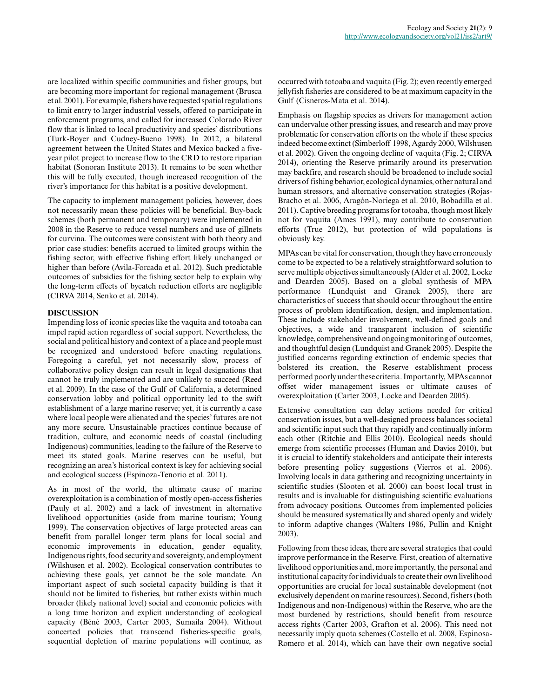are localized within specific communities and fisher groups, but are becoming more important for regional management (Brusca et al. 2001). For example, fishers have requested spatial regulations to limit entry to larger industrial vessels, offered to participate in enforcement programs, and called for increased Colorado River flow that is linked to local productivity and species' distributions (Turk-Boyer and Cudney-Bueno 1998). In 2012, a bilateral agreement between the United States and Mexico backed a fiveyear pilot project to increase flow to the CRD to restore riparian habitat (Sonoran Institute 2013). It remains to be seen whether this will be fully executed, though increased recognition of the river's importance for this habitat is a positive development.

The capacity to implement management policies, however, does not necessarily mean these policies will be beneficial. Buy-back schemes (both permanent and temporary) were implemented in 2008 in the Reserve to reduce vessel numbers and use of gillnets for curvina. The outcomes were consistent with both theory and prior case studies: benefits accrued to limited groups within the fishing sector, with effective fishing effort likely unchanged or higher than before (Avila-Forcada et al. 2012). Such predictable outcomes of subsidies for the fishing sector help to explain why the long-term effects of bycatch reduction efforts are negligible (CIRVA 2014, Senko et al. 2014).

## **DISCUSSION**

Impending loss of iconic species like the vaquita and totoaba can impel rapid action regardless of social support. Nevertheless, the social and political history and context of a place and people must be recognized and understood before enacting regulations. Foregoing a careful, yet not necessarily slow, process of collaborative policy design can result in legal designations that cannot be truly implemented and are unlikely to succeed (Reed et al. 2009). In the case of the Gulf of California, a determined conservation lobby and political opportunity led to the swift establishment of a large marine reserve; yet, it is currently a case where local people were alienated and the species' futures are not any more secure. Unsustainable practices continue because of tradition, culture, and economic needs of coastal (including Indigenous) communities, leading to the failure of the Reserve to meet its stated goals. Marine reserves can be useful, but recognizing an area's historical context is key for achieving social and ecological success (Espinoza-Tenorio et al. 2011).

As in most of the world, the ultimate cause of marine overexploitation is a combination of mostly open-access fisheries (Pauly et al. 2002) and a lack of investment in alternative livelihood opportunities (aside from marine tourism; Young 1999). The conservation objectives of large protected areas can benefit from parallel longer term plans for local social and economic improvements in education, gender equality, Indigenous rights, food security and sovereignty, and employment (Wilshusen et al. 2002). Ecological conservation contributes to achieving these goals, yet cannot be the sole mandate. An important aspect of such societal capacity building is that it should not be limited to fisheries, but rather exists within much broader (likely national level) social and economic policies with a long time horizon and explicit understanding of ecological capacity (Béné 2003, Carter 2003, Sumaila 2004). Without concerted policies that transcend fisheries-specific goals, sequential depletion of marine populations will continue, as

occurred with totoaba and vaquita (Fig. 2); even recently emerged jellyfish fisheries are considered to be at maximum capacity in the Gulf (Cisneros-Mata et al. 2014).

Emphasis on flagship species as drivers for management action can undervalue other pressing issues, and research and may prove problematic for conservation efforts on the whole if these species indeed become extinct (Simberloff 1998, Agardy 2000, Wilshusen et al. 2002). Given the ongoing decline of vaquita (Fig. 2; CIRVA 2014), orienting the Reserve primarily around its preservation may backfire, and research should be broadened to include social drivers of fishing behavior, ecological dynamics, other natural and human stressors, and alternative conservation strategies (Rojas-Bracho et al. 2006, Aragón-Noriega et al. 2010, Bobadilla et al. 2011). Captive breeding programs for totoaba, though most likely not for vaquita (Ames 1991), may contribute to conservation efforts (True 2012), but protection of wild populations is obviously key.

MPAs can be vital for conservation, though they have erroneously come to be expected to be a relatively straightforward solution to serve multiple objectives simultaneously (Alder et al. 2002, Locke and Dearden 2005). Based on a global synthesis of MPA performance (Lundquist and Granek 2005), there are characteristics of success that should occur throughout the entire process of problem identification, design, and implementation. These include stakeholder involvement, well-defined goals and objectives, a wide and transparent inclusion of scientific knowledge, comprehensive and ongoing monitoring of outcomes, and thoughtful design (Lundquist and Granek 2005). Despite the justified concerns regarding extinction of endemic species that bolstered its creation, the Reserve establishment process performed poorly under these criteria. Importantly, MPAs cannot offset wider management issues or ultimate causes of overexploitation (Carter 2003, Locke and Dearden 2005).

Extensive consultation can delay actions needed for critical conservation issues, but a well-designed process balances societal and scientific input such that they rapidly and continually inform each other (Ritchie and Ellis 2010). Ecological needs should emerge from scientific processes (Human and Davies 2010), but it is crucial to identify stakeholders and anticipate their interests before presenting policy suggestions (Vierros et al. 2006). Involving locals in data gathering and recognizing uncertainty in scientific studies (Slooten et al. 2000) can boost local trust in results and is invaluable for distinguishing scientific evaluations from advocacy positions. Outcomes from implemented policies should be measured systematically and shared openly and widely to inform adaptive changes (Walters 1986, Pullin and Knight 2003).

Following from these ideas, there are several strategies that could improve performance in the Reserve. First, creation of alternative livelihood opportunities and, more importantly, the personal and institutional capacity for individuals to create their own livelihood opportunities are crucial for local sustainable development (not exclusively dependent on marine resources). Second, fishers (both Indigenous and non-Indigenous) within the Reserve, who are the most burdened by restrictions, should benefit from resource access rights (Carter 2003, Grafton et al. 2006). This need not necessarily imply quota schemes (Costello et al. 2008, Espinosa-Romero et al. 2014), which can have their own negative social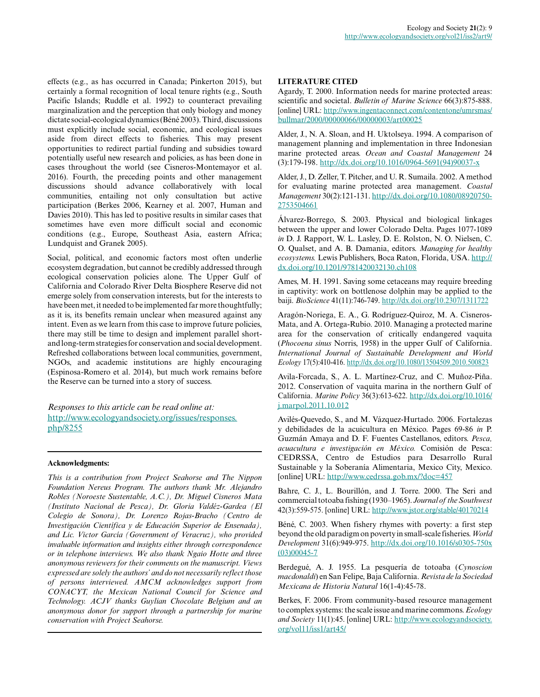effects (e.g., as has occurred in Canada; Pinkerton 2015), but certainly a formal recognition of local tenure rights (e.g., South Pacific Islands; Ruddle et al. 1992) to counteract prevailing marginalization and the perception that only biology and money dictate social-ecological dynamics (Béné 2003). Third, discussions must explicitly include social, economic, and ecological issues aside from direct effects to fisheries. This may present opportunities to redirect partial funding and subsidies toward potentially useful new research and policies, as has been done in cases throughout the world (see Cisneros-Montemayor et al. 2016). Fourth, the preceding points and other management discussions should advance collaboratively with local communities, entailing not only consultation but active participation (Berkes 2006, Kearney et al. 2007, Human and Davies 2010). This has led to positive results in similar cases that sometimes have even more difficult social and economic conditions (e.g., Europe, Southeast Asia, eastern Africa; Lundquist and Granek 2005).

Social, political, and economic factors most often underlie ecosystem degradation, but cannot be credibly addressed through ecological conservation policies alone. The Upper Gulf of California and Colorado River Delta Biosphere Reserve did not emerge solely from conservation interests, but for the interests to have been met, it needed to be implemented far more thoughtfully; as it is, its benefits remain unclear when measured against any intent. Even as we learn from this case to improve future policies, there may still be time to design and implement parallel shortand long-term strategies for conservation and social development. Refreshed collaborations between local communities, government, NGOs, and academic institutions are highly encouraging (Espinosa-Romero et al. 2014), but much work remains before the Reserve can be turned into a story of success.

*Responses to this article can be read online at:* [http://www.ecologyandsociety.org/issues/responses.](http://www.ecologyandsociety.org/issues/responses.php/8255) [php/8255](http://www.ecologyandsociety.org/issues/responses.php/8255)

### **Acknowledgments:**

*This is a contribution from Project Seahorse and The Nippon Foundation Nereus Program. The authors thank Mr. Alejandro Robles (Noroeste Sustentable, A.C.), Dr. Miguel Cisneros Mata (Instituto Nacional de Pesca), Dr. Gloria Valdéz-Gardea (El Colegio de Sonora), Dr. Lorenzo Rojas-Bracho (Centro de Investigación Científica y de Educación Superior de Ensenada), and Lic. Victor García (Government of Veracruz), who provided invaluable information and insights either through correspondence or in telephone interviews. We also thank Ngaio Hotte and three anonymous reviewers for their comments on the manuscript. Views expressed are solely the authors' and do not necessarily reflect those of persons interviewed. AMCM acknowledges support from CONACYT, the Mexican National Council for Science and Technology. ACJV thanks Guylian Chocolate Belgium and an anonymous donor for support through a partnership for marine conservation with Project Seahorse.*

## **LITERATURE CITED**

Agardy, T. 2000. Information needs for marine protected areas: scientific and societal. *Bulletin of Marine Science* 66(3):875-888. [online] URL: [http://www.ingentaconnect.com/contentone/umrsmas/](http://www.ingentaconnect.com/contentone/umrsmas/bullmar/2000/00000066/00000003/art00025) [bullmar/2000/00000066/00000003/art00025](http://www.ingentaconnect.com/contentone/umrsmas/bullmar/2000/00000066/00000003/art00025) 

Alder, J., N. A. Sloan, and H. Uktolseya. 1994. A comparison of management planning and implementation in three Indonesian marine protected areas. *Ocean and Coastal Management* 24 (3):179-198. [http://dx.doi.org/10.1016/0964-5691\(94\)90037-x](http://dx.doi.org/10.1016/0964-5691%2894%2990037-x) 

Alder, J., D. Zeller, T. Pitcher, and U. R. Sumaila. 2002. A method for evaluating marine protected area management. *Coastal Management* 30(2):121-131. [http://dx.doi.org/10.1080/08920750](http://dx.doi.org/10.1080/089207502753504661) [2753504661](http://dx.doi.org/10.1080/089207502753504661)

Álvarez-Borrego, S. 2003. Physical and biological linkages between the upper and lower Colorado Delta. Pages 1077-1089 *in* D. J. Rapport, W. L. Lasley, D. E. Rolston, N. O. Nielsen, C. O. Qualset, and A. B. Damania, editors. *Managing for healthy ecosystems.* Lewis Publishers, Boca Raton, Florida, USA. [http://](http://dx.doi.org/10.1201/9781420032130.ch108) [dx.doi.org/10.1201/9781420032130.ch108](http://dx.doi.org/10.1201/9781420032130.ch108)

Ames, M. H. 1991. Saving some cetaceans may require breeding in captivity: work on bottlenose dolphin may be applied to the baiji. *BioScience* 41(11):746-749.<http://dx.doi.org/10.2307/1311722>

Aragón-Noriega, E. A., G. Rodríguez-Quiroz, M. A. Cisneros-Mata, and A. Ortega-Rubio. 2010. Managing a protected marine area for the conservation of critically endangered vaquita (*Phocoena sinus* Norris, 1958) in the upper Gulf of California. *International Journal of Sustainable Development and World Ecology* 17(5):410-416.<http://dx.doi.org/10.1080/13504509.2010.500823>

Avila-Forcada, S., A. L. Martínez-Cruz, and C. Muñoz-Piña. 2012. Conservation of vaquita marina in the northern Gulf of California. *Marine Policy* 36(3):613-622. [http://dx.doi.org/10.1016/](http://dx.doi.org/10.1016/j.marpol.2011.10.012) [j.marpol.2011.10.012](http://dx.doi.org/10.1016/j.marpol.2011.10.012)

Avilés-Quevedo, S., and M. Vázquez-Hurtado. 2006. Fortalezas y debilidades de la acuicultura en México. Pages 69-86 *in* P. Guzmán Amaya and D. F. Fuentes Castellanos, editors. *Pesca, acuacultura e investigación en México.* Comisión de Pesca: CEDRSSA, Centro de Estudios para Desarrollo Rural Sustainable y la Soberanía Alimentaria, Mexico City, Mexico. [online] URL: <http://www.cedrssa.gob.mx/?doc=457>

Bahre, C. J., L. Bourillón, and J. Torre. 2000. The Seri and commercial totoaba fishing (1930–1965). *Journal of the Southwest* 42(3):559-575. [online] URL: <http://www.jstor.org/stable/40170214>

Béné, C. 2003. When fishery rhymes with poverty: a first step beyond the old paradigm on poverty in small-scale fisheries. *World Development* 31(6):949-975. [http://dx.doi.org/10.1016/s0305-750x](http://dx.doi.org/10.1016/s0305-750x%2803%2900045-7) [\(03\)00045-7](http://dx.doi.org/10.1016/s0305-750x%2803%2900045-7) 

Berdegué, A. J. 1955. La pesquería de totoaba (*Cynoscion macdonaldi*) en San Felipe, Baja California. *Revista de la Sociedad Mexicana de Historia Natural* 16(1-4):45-78.

Berkes, F. 2006. From community-based resource management to complex systems: the scale issue and marine commons. *Ecology and Society* 11(1):45. [online] URL: [http://www.ecologyandsociety.](http://www.ecologyandsociety.org/vol11/iss1/art45/) [org/vol11/iss1/art45/](http://www.ecologyandsociety.org/vol11/iss1/art45/)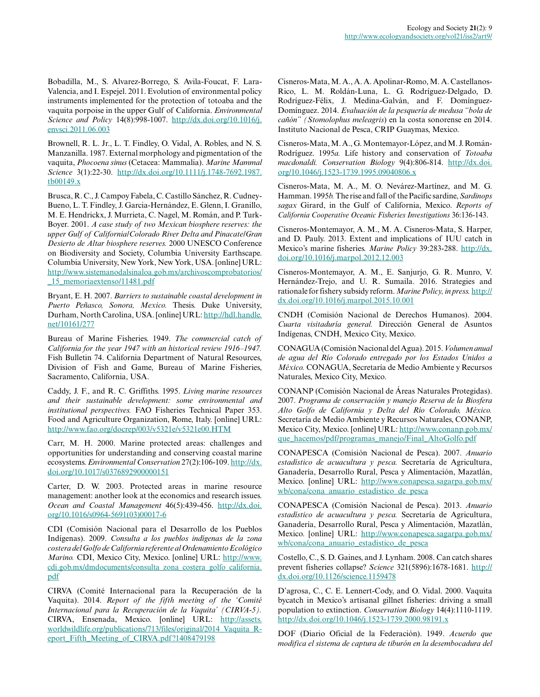Bobadilla, M., S. Alvarez-Borrego, S. Avila-Foucat, F. Lara-Valencia, and I. Espejel. 2011. Evolution of environmental policy instruments implemented for the protection of totoaba and the vaquita porpoise in the upper Gulf of California. *Environmental Science and Policy* 14(8):998-1007. [http://dx.doi.org/10.1016/j.](http://dx.doi.org/10.1016/j.envsci.2011.06.003) [envsci.2011.06.003](http://dx.doi.org/10.1016/j.envsci.2011.06.003) 

Brownell, R. L. Jr., L. T. Findley, O. Vidal, A. Robles, and N. S. Manzanilla. 1987. External morphology and pigmentation of the vaquita, *Phocoena sinus* (Cetacea: Mammalia). *Marine Mammal Science* 3(1):22-30. [http://dx.doi.org/10.1111/j.1748-7692.1987.](http://dx.doi.org/10.1111/j.1748-7692.1987.tb00149.x) [tb00149.x](http://dx.doi.org/10.1111/j.1748-7692.1987.tb00149.x)

Brusca, R. C., J. Campoy Fabela, C. Castillo Sánchez, R. Cudney-Bueno, L. T. Findley, J. Garcia-Hernández, E. Glenn, I. Granillo, M. E. Hendrickx, J. Murrieta, C. Nagel, M. Román, and P. Turk-Boyer. 2001. *A case study of two Mexican biosphere reserves: the upper Gulf of California/Colorado River Delta and Pinacate/Gran Desierto de Altar biosphere reserves.* 2000 UNESCO Conference on Biodiversity and Society, Columbia University Earthscape. Columbia University, New York, New York, USA. [online] URL: [http://www.sistemanodalsinaloa.gob.mx/archivoscomprobatorios/](http://www.sistemanodalsinaloa.gob.mx/archivoscomprobatorios/_15_memoriaextenso/11481.pdf) [\\_15\\_memoriaextenso/11481.pdf](http://www.sistemanodalsinaloa.gob.mx/archivoscomprobatorios/_15_memoriaextenso/11481.pdf)

Bryant, E. H. 2007. *Barriers to sustainable coastal development in Puerto Peñasco, Sonora, Mexico.* Thesis. Duke University, Durham, North Carolina, USA. [online] URL: [http://hdl.handle.](http://hdl.handle.net/10161/277) [net/10161/277](http://hdl.handle.net/10161/277) 

Bureau of Marine Fisheries. 1949. *The commercial catch of California for the year 1947 with an historical review 1916–1947.* Fish Bulletin 74. California Department of Natural Resources, Division of Fish and Game, Bureau of Marine Fisheries, Sacramento, California, USA.

Caddy, J. F., and R. C. Griffiths. 1995. *Living marine resources and their sustainable development: some environmental and institutional perspectives.* FAO Fisheries Technical Paper 353. Food and Agriculture Organization, Rome, Italy. [online] URL: <http://www.fao.org/docrep/003/v5321e/v5321e00.HTM>

Carr, M. H. 2000. Marine protected areas: challenges and opportunities for understanding and conserving coastal marine ecosystems. *Environmental Conservation* 27(2):106-109. [http://dx.](http://dx.doi.org/10.1017/s0376892900000151) [doi.org/10.1017/s0376892900000151](http://dx.doi.org/10.1017/s0376892900000151)

Carter, D. W. 2003. Protected areas in marine resource management: another look at the economics and research issues. *Ocean and Coastal Management* 46(5):439-456. [http://dx.doi.](http://dx.doi.org/10.1016/s0964-5691%2803%2900017-6) [org/10.1016/s0964-5691\(03\)00017-6](http://dx.doi.org/10.1016/s0964-5691%2803%2900017-6) 

CDI (Comisión Nacional para el Desarrollo de los Pueblos Indígenas). 2009. *Consulta a los pueblos indígenas de la zona costera del Golfo de California referente al Ordenamiento Ecológico Marino.* CDI, Mexico City, Mexico. [online] URL: [http://www.](http://www.cdi.gob.mx/dmdocuments/consulta_zona_costera_golfo_california.pdf) [cdi.gob.mx/dmdocuments/consulta\\_zona\\_costera\\_golfo\\_california.](http://www.cdi.gob.mx/dmdocuments/consulta_zona_costera_golfo_california.pdf) [pdf](http://www.cdi.gob.mx/dmdocuments/consulta_zona_costera_golfo_california.pdf)

CIRVA (Comité Internacional para la Recuperación de la Vaquita). 2014. *Report of the fifth meeting of the 'Comité Internacional para la Recuperación de la Vaquita' (CIRVA-5).* CIRVA, Ensenada, Mexico. [online] URL: [http://assets.](http://assets.worldwildlife.org/publications/713/files/original/2014_Vaquita_Report_Fifth_Meeting_of_CIRVA.pdf?1408479198) [worldwildlife.org/publications/713/files/original/2014\\_Vaquita\\_R](http://assets.worldwildlife.org/publications/713/files/original/2014_Vaquita_Report_Fifth_Meeting_of_CIRVA.pdf?1408479198)[eport\\_Fifth\\_Meeting\\_of\\_CIRVA.pdf?1408479198](http://assets.worldwildlife.org/publications/713/files/original/2014_Vaquita_Report_Fifth_Meeting_of_CIRVA.pdf?1408479198)

Cisneros-Mata, M. A., A. A. Apolinar-Romo, M. A. Castellanos-Rico, L. M. Roldán-Luna, L. G. Rodríguez-Delgado, D. Rodríguez-Félix, J. Medina-Galván, and F. Domínguez-Domínguez. 2014. *Evaluación de la pesquería de medusa "bola de cañón" (Stomolophus meleagris*) en la costa sonorense en 2014. Instituto Nacional de Pesca, CRIP Guaymas, Mexico.

Cisneros-Mata, M. A., G. Montemayor-López, and M. J. Román-Rodríguez. 1995*a.* Life history and conservation of *Totoaba macdonaldi. Conservation Biology* 9(4):806-814. [http://dx.doi.](http://dx.doi.org/10.1046/j.1523-1739.1995.09040806.x) [org/10.1046/j.1523-1739.1995.09040806.x](http://dx.doi.org/10.1046/j.1523-1739.1995.09040806.x) 

Cisneros-Mata, M. A., M. O. Nevárez-Martínez, and M. G. Hamman. 1995*b.* The rise and fall of the Pacific sardine, *Sardinops sagax* Girard, in the Gulf of California, Mexico. *Reports of California Cooperative Oceanic Fisheries Investigations* 36:136-143.

Cisneros-Montemayor, A. M., M. A. Cisneros-Mata, S. Harper, and D. Pauly. 2013. Extent and implications of IUU catch in Mexico's marine fisheries. *Marine Policy* 39:283-288. [http://dx.](http://dx.doi.org/10.1016/j.marpol.2012.12.003) [doi.org/10.1016/j.marpol.2012.12.003](http://dx.doi.org/10.1016/j.marpol.2012.12.003)

Cisneros-Montemayor, A. M., E. Sanjurjo, G. R. Munro, V. Hernández-Trejo, and U. R. Sumaila. 2016. Strategies and rationale for fishery subsidy reform. *Marine Policy, in press.* [http://](http://dx.doi.org/10.1016/j.marpol.2015.10.001) [dx.doi.org/10.1016/j.marpol.2015.10.001](http://dx.doi.org/10.1016/j.marpol.2015.10.001)

CNDH (Comisión Nacional de Derechos Humanos). 2004. *Cuarta visitaduría general.* Dirección General de Asuntos Indígenas, CNDH, Mexico City, Mexico.

CONAGUA (Comisión Nacional del Agua). 2015. *Volumen anual de agua del Río Colorado entregado por los Estados Unidos a México.* CONAGUA, Secretaría de Medio Ambiente y Recursos Naturales, Mexico City, Mexico.

CONANP (Comisión Nacional de Áreas Naturales Protegidas). 2007. *Programa de conservación y manejo Reserva de la Biosfera Alto Golfo de California y Delta del Río Colorado, México.* Secretaría de Medio Ambiente y Recursos Naturales, CONANP, Mexico City, Mexico. [online] URL: [http://www.conanp.gob.mx/](http://www.conanp.gob.mx/que_hacemos/pdf/programas_manejo/Final_AltoGolfo.pdf) que hacemos/pdf/programas manejo/Final AltoGolfo.pdf

CONAPESCA (Comisión Nacional de Pesca). 2007. *Anuario estadístico de acuacultura y pesca.* Secretaría de Agricultura, Ganadería, Desarrollo Rural, Pesca y Alimentación, Mazatlán, Mexico. [online] URL: [http://www.conapesca.sagarpa.gob.mx/](http://www.conapesca.sagarpa.gob.mx/wb/cona/cona_anuario_estadistico_de_pesca) [wb/cona/cona\\_anuario\\_estadistico\\_de\\_pesca](http://www.conapesca.sagarpa.gob.mx/wb/cona/cona_anuario_estadistico_de_pesca) 

CONAPESCA (Comisión Nacional de Pesca). 2013. *Anuario estadístico de acuacultura y pesca.* Secretaría de Agricultura, Ganadería, Desarrollo Rural, Pesca y Alimentación, Mazatlán, Mexico. [online] URL: [http://www.conapesca.sagarpa.gob.mx/](http://www.conapesca.sagarpa.gob.mx/wb/cona/cona_anuario_estadistico_de_pesca) [wb/cona/cona\\_anuario\\_estadistico\\_de\\_pesca](http://www.conapesca.sagarpa.gob.mx/wb/cona/cona_anuario_estadistico_de_pesca) 

Costello, C., S. D. Gaines, and J. Lynham. 2008. Can catch shares prevent fisheries collapse? *Science* 321(5896):1678-1681. [http://](http://dx.doi.org/10.1126/science.1159478) [dx.doi.org/10.1126/science.1159478](http://dx.doi.org/10.1126/science.1159478) 

D'agrosa, C., C. E. Lennert-Cody, and O. Vidal. 2000. Vaquita bycatch in Mexico's artisanal gillnet fisheries: driving a small population to extinction. *Conservation Biology* 14(4):1110-1119. <http://dx.doi.org/10.1046/j.1523-1739.2000.98191.x>

DOF (Diario Oficial de la Federación). 1949. *Acuerdo que modifica el sistema de captura de tiburón en la desembocadura del*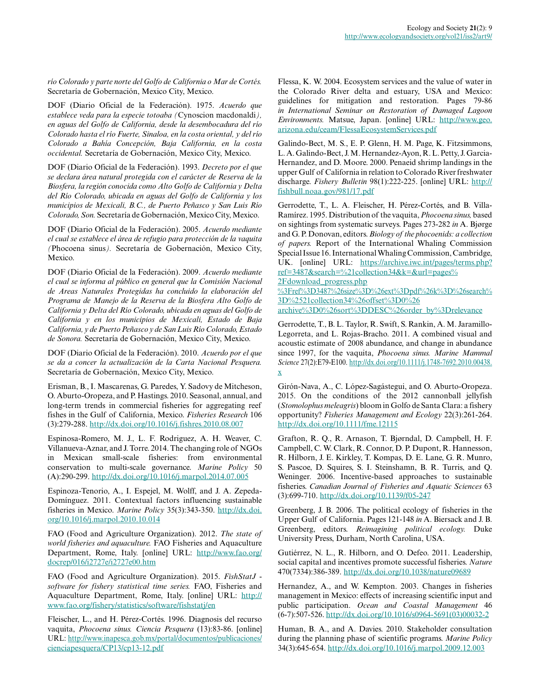*río Colorado y parte norte del Golfo de California o Mar de Cortés.* Secretaría de Gobernación, Mexico City, Mexico.

DOF (Diario Oficial de la Federación). 1975. *Acuerdo que establece veda para la especie totoaba (*Cynoscion macdonaldi*), en aguas del Golfo de California, desde la desembocadura del río Colorado hasta el río Fuerte, Sinaloa, en la costa oriental, y del río Colorado a Bahía Concepción, Baja California, en la costa occidental.* Secretaría de Gobernación, Mexico City, Mexico.

DOF (Diario Oficial de la Federación). 1993. *Decreto por el que se declara área natural protegida con el carácter de Reserva de la Biosfera, la región conocida como Alto Golfo de California y Delta del Río Colorado, ubicada en aguas del Golfo de California y los municipios de Mexicali, B.C., de Puerto Peñasco y San Luis Río Colorado, Son.* Secretaría de Gobernación, Mexico City, Mexico.

DOF (Diario Oficial de la Federación). 2005. *Acuerdo mediante el cual se establece el área de refugio para protección de la vaquita (*Phocoena sinus*).* Secretaría de Gobernación, Mexico City, Mexico.

DOF (Diario Oficial de la Federación). 2009. *Acuerdo mediante el cual se informa al público en general que la Comisión Nacional de Areas Naturales Protegidas ha concluido la elaboración del Programa de Manejo de la Reserva de la Biosfera Alto Golfo de California y Delta del Río Colorado, ubicada en aguas del Golfo de California y en los municipios de Mexicali, Estado de Baja California, y de Puerto Peñasco y de San Luis Río Colorado, Estado de Sonora.* Secretaría de Gobernación, Mexico City, Mexico.

DOF (Diario Oficial de la Federación). 2010. *Acuerdo por el que se da a concer la actualización de la Carta Nacional Pesquera.* Secretaría de Gobernación, Mexico City, Mexico.

Erisman, B., I. Mascarenas, G. Paredes, Y. Sadovy de Mitcheson, O. Aburto-Oropeza, and P. Hastings. 2010. Seasonal, annual, and long-term trends in commercial fisheries for aggregating reef fishes in the Gulf of California, Mexico. *Fisheries Research* 106 (3):279-288. <http://dx.doi.org/10.1016/j.fishres.2010.08.007>

Espinosa-Romero, M. J., L. F. Rodriguez, A. H. Weaver, C. Villanueva-Aznar, and J. Torre. 2014. The changing role of NGOs in Mexican small-scale fisheries: from environmental conservation to multi-scale governance. *Marine Policy* 50 (A):290-299.<http://dx.doi.org/10.1016/j.marpol.2014.07.005>

Espinoza-Tenorio, A., I. Espejel, M. Wolff, and J. A. Zepeda-Domínguez. 2011. Contextual factors influencing sustainable fisheries in Mexico. *Marine Policy* 35(3):343-350. [http://dx.doi.](http://dx.doi.org/10.1016/j.marpol.2010.10.014) [org/10.1016/j.marpol.2010.10.014](http://dx.doi.org/10.1016/j.marpol.2010.10.014) 

FAO (Food and Agriculture Organization). 2012. *The state of world fisheries and aquaculture.* FAO Fisheries and Aquaculture Department, Rome, Italy. [online] URL: [http://www.fao.org/](http://www.fao.org/docrep/016/i2727e/i2727e00.htm) [docrep/016/i2727e/i2727e00.htm](http://www.fao.org/docrep/016/i2727e/i2727e00.htm) 

FAO (Food and Agriculture Organization). 2015. *FishStatJ software for fishery statistical time series.* FAO, Fisheries and Aquaculture Department, Rome, Italy. [online] URL: [http://](http://www.fao.org/fishery/statistics/software/fishstatj/en) [www.fao.org/fishery/statistics/software/fishstatj/en](http://www.fao.org/fishery/statistics/software/fishstatj/en)

Fleischer, L., and H. Pérez-Cortés. 1996. Diagnosis del recurso vaquita, *Phocoena sinus. Ciencia Pesquera* (13):83-86. [online] URL: [http://www.inapesca.gob.mx/portal/documentos/publicaciones/](http://www.inapesca.gob.mx/portal/documentos/publicaciones/cienciapesquera/CP13/cp13-12.pdf) [cienciapesquera/CP13/cp13-12.pdf](http://www.inapesca.gob.mx/portal/documentos/publicaciones/cienciapesquera/CP13/cp13-12.pdf)

Flessa, K. W. 2004. Ecosystem services and the value of water in the Colorado River delta and estuary, USA and Mexico: guidelines for mitigation and restoration. Pages 79-86 *in International Seminar on Restoration of Damaged Lagoon Environments.* Matsue, Japan. [online] URL: [http://www.geo.](http://www.geo.arizona.edu/ceam/FlessaEcosystemServices.pdf) [arizona.edu/ceam/FlessaEcosystemServices.pdf](http://www.geo.arizona.edu/ceam/FlessaEcosystemServices.pdf)

Galindo-Bect, M. S., E. P. Glenn, H. M. Page, K. Fitzsimmons, L. A. Galindo-Bect, J. M. Hernandez-Ayon, R. L. Petty, J. Garcia-Hernandez, and D. Moore. 2000. Penaeid shrimp landings in the upper Gulf of California in relation to Colorado River freshwater discharge. *Fishery Bulletin* 98(1):222-225. [online] URL: [http://](http://fishbull.noaa.gov/981/17.pdf) [fishbull.noaa.gov/981/17.pdf](http://fishbull.noaa.gov/981/17.pdf)

Gerrodette, T., L. A. Fleischer, H. Pérez-Cortés, and B. Villa-Ramírez. 1995. Distribution of the vaquita, *Phocoena sinus,* based on sightings from systematic surveys. Pages 273-282 *in* A. Bjørge and G. P. Donovan, editors. *Biology of the phocoenids: a collection of papers.* Report of the International Whaling Commission Special Issue 16. International Whaling Commission, Cambridge, UK. [online] URL: [https://archive.iwc.int/pages/terms.php?](https://archive.iwc.int/pages/terms.php?ref=3487&search=%21collection34&k=&url=pages%2Fdownload_progress.php%3Fref%3D3487%26size%3D%26ext%3Dpdf%26k%3D%26search%3D%2521collection34%26offset%3D0%26archive%3D0%26sort%3DDESC%26order_by%3Drelevance) [ref=3487&search=%21collection34&k=&url=pages%](https://archive.iwc.int/pages/terms.php?ref=3487&search=%21collection34&k=&url=pages%2Fdownload_progress.php%3Fref%3D3487%26size%3D%26ext%3Dpdf%26k%3D%26search%3D%2521collection34%26offset%3D0%26archive%3D0%26sort%3DDESC%26order_by%3Drelevance)

[2Fdownload\\_progress.php](https://archive.iwc.int/pages/terms.php?ref=3487&search=%21collection34&k=&url=pages%2Fdownload_progress.php%3Fref%3D3487%26size%3D%26ext%3Dpdf%26k%3D%26search%3D%2521collection34%26offset%3D0%26archive%3D0%26sort%3DDESC%26order_by%3Drelevance)

[%3Fref%3D3487%26size%3D%26ext%3Dpdf%26k%3D%26search%](https://archive.iwc.int/pages/terms.php?ref=3487&search=%21collection34&k=&url=pages%2Fdownload_progress.php%3Fref%3D3487%26size%3D%26ext%3Dpdf%26k%3D%26search%3D%2521collection34%26offset%3D0%26archive%3D0%26sort%3DDESC%26order_by%3Drelevance) [3D%2521collection34%26offset%3D0%26](https://archive.iwc.int/pages/terms.php?ref=3487&search=%21collection34&k=&url=pages%2Fdownload_progress.php%3Fref%3D3487%26size%3D%26ext%3Dpdf%26k%3D%26search%3D%2521collection34%26offset%3D0%26archive%3D0%26sort%3DDESC%26order_by%3Drelevance) [archive%3D0%26sort%3DDESC%26order\\_by%3Drelevance](https://archive.iwc.int/pages/terms.php?ref=3487&search=%21collection34&k=&url=pages%2Fdownload_progress.php%3Fref%3D3487%26size%3D%26ext%3Dpdf%26k%3D%26search%3D%2521collection34%26offset%3D0%26archive%3D0%26sort%3DDESC%26order_by%3Drelevance)

Gerrodette, T., B. L. Taylor, R. Swift, S. Rankin, A. M. Jaramillo-Legorreta, and L. Rojas-Bracho. 2011. A combined visual and acoustic estimate of 2008 abundance, and change in abundance since 1997, for the vaquita, *Phocoena sinus. Marine Mammal Science* 27(2):E79-E100. [http://dx.doi.org/10.1111/j.1748-7692.2010.00438.](http://dx.doi.org/10.1111/j.1748-7692.2010.00438.x) [x](http://dx.doi.org/10.1111/j.1748-7692.2010.00438.x) 

Girón-Nava, A., C. López-Sagástegui, and O. Aburto-Oropeza. 2015. On the conditions of the 2012 cannonball jellyfish (*Stomolophus meleagris*) bloom in Golfo de Santa Clara: a fishery opportunity? *Fisheries Management and Ecology* 22(3):261-264. <http://dx.doi.org/10.1111/fme.12115>

Grafton, R. Q., R. Arnason, T. Bjørndal, D. Campbell, H. F. Campbell, C. W. Clark, R. Connor, D. P. Dupont, R. Hannesson, R. Hilborn, J. E. Kirkley, T. Kompas, D. E. Lane, G. R. Munro, S. Pascoe, D. Squires, S. I. Steinshamn, B. R. Turris, and Q. Weninger. 2006. Incentive-based approaches to sustainable fisheries. *Canadian Journal of Fisheries and Aquatic Sciences* 63 (3):699-710. <http://dx.doi.org/10.1139/f05-247>

Greenberg, J. B. 2006. The political ecology of fisheries in the Upper Gulf of California. Pages 121-148 *in* A. Biersack and J. B. Greenberg, editors. *Reimagining political ecology.* Duke University Press, Durham, North Carolina, USA.

Gutiérrez, N. L., R. Hilborn, and O. Defeo. 2011. Leadership, social capital and incentives promote successful fisheries. *Nature* 470(7334):386-389. <http://dx.doi.org/10.1038/nature09689>

Hernandez, A., and W. Kempton. 2003. Changes in fisheries management in Mexico: effects of increasing scientific input and public participation. *Ocean and Coastal Management* 46 (6-7):507-526. [http://dx.doi.org/10.1016/s0964-5691\(03\)00032-2](http://dx.doi.org/10.1016/s0964-5691%2803%2900032-2)

Human, B. A., and A. Davies. 2010. Stakeholder consultation during the planning phase of scientific programs. *Marine Policy* 34(3):645-654. <http://dx.doi.org/10.1016/j.marpol.2009.12.003>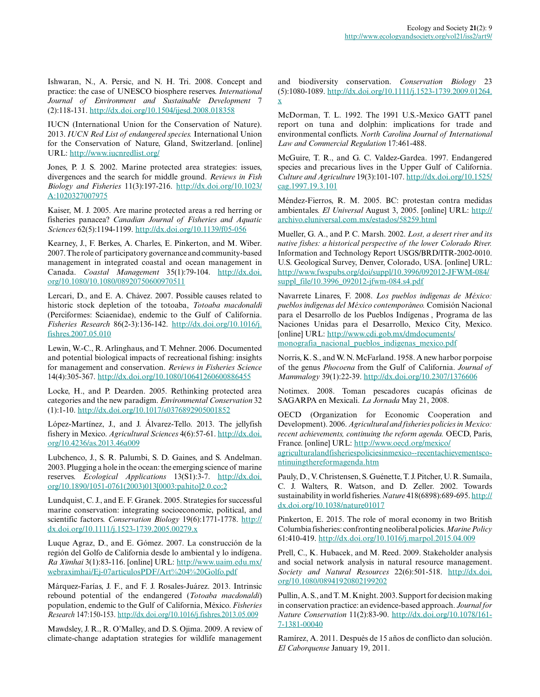Ishwaran, N., A. Persic, and N. H. Tri. 2008. Concept and practice: the case of UNESCO biosphere reserves. *International Journal of Environment and Sustainable Development* 7 (2):118-131. <http://dx.doi.org/10.1504/ijesd.2008.018358>

IUCN (International Union for the Conservation of Nature). 2013. *IUCN Red List of endangered species.* International Union for the Conservation of Nature, Gland, Switzerland. [online] URL:<http://www.iucnredlist.org/>

Jones, P. J. S. 2002. Marine protected area strategies: issues, divergences and the search for middle ground. *Reviews in Fish Biology and Fisheries* 11(3):197-216. [http://dx.doi.org/10.1023/](http://dx.doi.org/10.1023/A:1020327007975) [A:1020327007975](http://dx.doi.org/10.1023/A:1020327007975) 

Kaiser, M. J. 2005. Are marine protected areas a red herring or fisheries panacea? *Canadian Journal of Fisheries and Aquatic Sciences* 62(5):1194-1199.<http://dx.doi.org/10.1139/f05-056>

Kearney, J., F. Berkes, A. Charles, E. Pinkerton, and M. Wiber. 2007. The role of participatory governance and community-based management in integrated coastal and ocean management in Canada. *Coastal Management* 35(1):79-104. [http://dx.doi.](http://dx.doi.org/10.1080/10.1080/08920750600970511) [org/10.1080/10.1080/08920750600970511](http://dx.doi.org/10.1080/10.1080/08920750600970511) 

Lercari, D., and E. A. Chávez. 2007. Possible causes related to historic stock depletion of the totoaba, *Totoaba macdonaldi* (Perciformes: Sciaenidae), endemic to the Gulf of California. *Fisheries Research* 86(2-3):136-142. [http://dx.doi.org/10.1016/j.](http://dx.doi.org/10.1016/j.fishres.2007.05.010) [fishres.2007.05.010](http://dx.doi.org/10.1016/j.fishres.2007.05.010) 

Lewin, W.-C., R. Arlinghaus, and T. Mehner. 2006. Documented and potential biological impacts of recreational fishing: insights for management and conservation. *Reviews in Fisheries Science* 14(4):305-367. <http://dx.doi.org/10.1080/10641260600886455>

Locke, H., and P. Dearden. 2005. Rethinking protected area categories and the new paradigm. *Environmental Conservation* 32 (1):1-10.<http://dx.doi.org/10.1017/s0376892905001852>

López-Martínez, J., and J. Álvarez-Tello. 2013. The jellyfish fishery in Mexico. *Agricultural Sciences* 4(6):57-61. [http://dx.doi.](http://dx.doi.org/10.4236/as.2013.46a009) [org/10.4236/as.2013.46a009](http://dx.doi.org/10.4236/as.2013.46a009)

Lubchenco, J., S. R. Palumbi, S. D. Gaines, and S. Andelman. 2003. Plugging a hole in the ocean: the emerging science of marine reserves. *Ecological Applications* 13(S1):3-7. [http://dx.doi.](http://dx.doi.org/10.1890/1051-0761%282003%29013%5B0003%3Apahito%5D2.0.co%3B2) [org/10.1890/1051-0761\(2003\)013\[0003:pahito\]2.0.co;2](http://dx.doi.org/10.1890/1051-0761%282003%29013%5B0003%3Apahito%5D2.0.co%3B2) 

Lundquist, C. J., and E. F. Granek. 2005. Strategies for successful marine conservation: integrating socioeconomic, political, and scientific factors. *Conservation Biology* 19(6):1771-1778. [http://](http://dx.doi.org/10.1111/j.1523-1739.2005.00279.x) [dx.doi.org/10.1111/j.1523-1739.2005.00279.x](http://dx.doi.org/10.1111/j.1523-1739.2005.00279.x)

Luque Agraz, D., and E. Gómez. 2007. La construcción de la región del Golfo de California desde lo ambiental y lo indígena. *Ra Ximhai* 3(1):83-116. [online] URL: [http://www.uaim.edu.mx/](http://www.uaim.edu.mx/webraximhai/Ej-07articulosPDF/Art%204%20Golfo.pdf) [webraximhai/Ej-07articulosPDF/Art%204%20Golfo.pdf](http://www.uaim.edu.mx/webraximhai/Ej-07articulosPDF/Art%204%20Golfo.pdf)

Márquez-Farías, J. F., and F. J. Rosales-Juárez. 2013. Intrinsic rebound potential of the endangered (*Totoaba macdonaldi*) population, endemic to the Gulf of California, México. *Fisheries Research* 147:150-153.<http://dx.doi.org/10.1016/j.fishres.2013.05.009>

Mawdsley, J. R., R. O'Malley, and D. S. Ojima. 2009. A review of climate-change adaptation strategies for wildlife management and biodiversity conservation. *Conservation Biology* 23 (5):1080-1089. [http://dx.doi.org/10.1111/j.1523-1739.2009.01264.](http://dx.doi.org/10.1111/j.1523-1739.2009.01264.x) [x](http://dx.doi.org/10.1111/j.1523-1739.2009.01264.x) 

McDorman, T. L. 1992. The 1991 U.S.-Mexico GATT panel report on tuna and dolphin: implications for trade and environmental conflicts. *North Carolina Journal of International Law and Commercial Regulation* 17:461-488.

McGuire, T. R., and G. C. Valdez-Gardea. 1997. Endangered species and precarious lives in the Upper Gulf of California. *Culture and Agriculture* 19(3):101-107. [http://dx.doi.org/10.1525/](http://dx.doi.org/10.1525/cag.1997.19.3.101) [cag.1997.19.3.101](http://dx.doi.org/10.1525/cag.1997.19.3.101)

Méndez-Fierros, R. M. 2005. BC: protestan contra medidas ambientales. *El Universal* August 3, 2005. [online] URL: [http://](http://archivo.eluniversal.com.mx/estados/58259.html) [archivo.eluniversal.com.mx/estados/58259.html](http://archivo.eluniversal.com.mx/estados/58259.html)

Mueller, G. A., and P. C. Marsh. 2002. *Lost, a desert river and its native fishes: a historical perspective of the lower Colorado River.* Information and Technology Report USGS/BRD/ITR-2002-0010. U.S. Geological Survey, Denver, Colorado, USA. [online] URL: [http://www.fwspubs.org/doi/suppl/10.3996/092012-JFWM-084/](http://www.fwspubs.org/doi/suppl/10.3996/092012-JFWM-084/suppl_file/10.3996_092012-jfwm-084.s4.pdf) [suppl\\_file/10.3996\\_092012-jfwm-084.s4.pdf](http://www.fwspubs.org/doi/suppl/10.3996/092012-JFWM-084/suppl_file/10.3996_092012-jfwm-084.s4.pdf)

Navarrete Linares, F. 2008. *Los pueblos indígenas de México: pueblos indígenas del México contemporáneo.* Comisión Nacional para el Desarrollo de los Pueblos Indígenas , Programa de las Naciones Unidas para el Desarrollo, Mexico City, Mexico. [online] URL: [http://www.cdi.gob.mx/dmdocuments/](http://www.cdi.gob.mx/dmdocuments/monografia_nacional_pueblos_indigenas_mexico.pdf) [monografia\\_nacional\\_pueblos\\_indigenas\\_mexico.pdf](http://www.cdi.gob.mx/dmdocuments/monografia_nacional_pueblos_indigenas_mexico.pdf)

Norris, K. S., and W. N. McFarland. 1958. A new harbor porpoise of the genus *Phocoena* from the Gulf of California. *Journal of Mammalogy* 39(1):22-39.<http://dx.doi.org/10.2307/1376606>

Notimex. 2008. Toman pescadores cucapás oficinas de SAGARPA en Mexicali. *La Jornada* May 21, 2008.

OECD (Organization for Economic Cooperation and Development). 2006. *Agricultural and fisheries policies in Mexico: recent achievements, continuing the reform agenda.* OECD, Paris, France. [online] URL: [http://www.oecd.org/mexico/](http://www.oecd.org/mexico/agriculturalandfisheriespoliciesinmexico--recentachievementscontinuingthereformagenda.htm)

[agriculturalandfisheriespoliciesinmexico--recentachievementsco](http://www.oecd.org/mexico/agriculturalandfisheriespoliciesinmexico--recentachievementscontinuingthereformagenda.htm)[ntinuingthereformagenda.htm](http://www.oecd.org/mexico/agriculturalandfisheriespoliciesinmexico--recentachievementscontinuingthereformagenda.htm) 

Pauly, D., V. Christensen, S. Guénette, T. J. Pitcher, U. R. Sumaila, C. J. Walters, R. Watson, and D. Zeller. 2002. Towards sustainability in world fisheries. *Nature* 418(6898):689-695. [http://](http://dx.doi.org/10.1038/nature01017) [dx.doi.org/10.1038/nature01017](http://dx.doi.org/10.1038/nature01017) 

Pinkerton, E. 2015. The role of moral economy in two British Columbia fisheries: confronting neoliberal policies. *Marine Policy* 61:410-419.<http://dx.doi.org/10.1016/j.marpol.2015.04.009>

Prell, C., K. Hubacek, and M. Reed. 2009. Stakeholder analysis and social network analysis in natural resource management. *Society and Natural Resources* 22(6):501-518. [http://dx.doi.](http://dx.doi.org/10.1080/08941920802199202) [org/10.1080/08941920802199202](http://dx.doi.org/10.1080/08941920802199202) 

Pullin, A. S., and T. M. Knight. 2003. Support for decision making in conservation practice: an evidence-based approach. *Journal for Nature Conservation* 11(2):83-90. [http://dx.doi.org/10.1078/161](http://dx.doi.org/10.1078/1617-1381-00040) [7-1381-00040](http://dx.doi.org/10.1078/1617-1381-00040) 

Ramírez, A. 2011. Después de 15 años de conflicto dan solución. *El Caborquense* January 19, 2011.